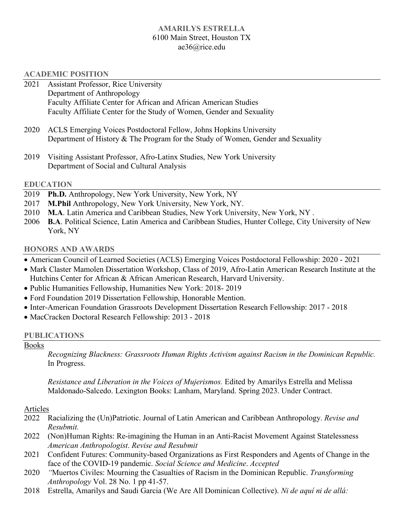## 6100 Main Street, Houston TX **AMARILYS ESTRELLA**  [ae36@rice.edu](mailto:ae36@rice.edu)

#### **ACADEMIC POSITION**

- 2021 Department of Anthropology Faculty Affiliate Center for African and African American Studies Faculty Affiliate Center for the Study of Women, Gender and Sexuality Assistant Professor, Rice University
- 2020 Department of History & The Program for the Study of Women, Gender and Sexuality ACLS Emerging Voices Postdoctoral Fellow, Johns Hopkins University
- 2019 Visiting Assistant Professor, Afro-Latinx Studies, New York University Department of Social and Cultural Analysis

#### **EDUCATION**

- 2019 **Ph.D.** Anthropology, New York University, New York, NY
- 2017 **M.Phil Anthropology, New York University, New York, NY.**
- 2010 **M.A**. Latin America and Caribbean Studies, New York University, New York, NY .
- 2006 **B.A**. Political Science, Latin America and Caribbean Studies, Hunter College, City University of New York, NY

#### **HONORS AND AWARDS**

- American Council of Learned Societies (ACLS) Emerging Voices Postdoctoral Fellowship: 2020 2021
- • Mark Claster Mamolen Dissertation Workshop, Class of 2019, Afro-Latin American Research Institute at the Hutchins Center for African & African American Research, Harvard University.
- Public Humanities Fellowship, Humanities New York: 2018- 2019
- Ford Foundation 2019 Dissertation Fellowship, Honorable Mention.
- Inter-American Foundation Grassroots Development Dissertation Research Fellowship: 2017 2018
- MacCracken Doctoral Research Fellowship: 2013 2018

#### **PUBLICATIONS**

#### Books

 *Recognizing Blackness: Grassroots Human Rights Activism against Racism in the Dominican Republic.*  In Progress.

 *Resistance and Liberation in the Voices of Mujerismos.* Edited by Amarilys Estrella and Melissa Maldonado-Salcedo. Lexington Books: Lanham, Maryland. Spring 2023. Under Contract.

### **Articles**

- 2022 Racializing the (Un)Patriotic. Journal of Latin American and Caribbean Anthropology. *Revise and Resubmit.*
- 2022 (Non)Human Rights: Re-imagining the Human in an Anti-Racist Movement Against Statelessness *American Anthropologist*. *Revise and Resubmit*
- 2021 face of the COVID-19 pandemic. *Social Science and Medicine*. *Accepted*  Confident Futures: Community-based Organizations as First Responders and Agents of Change in the
- 2020 *"*Muertos Civiles: Mourning the Casualties of Racism in the Dominican Republic. *Transforming Anthropology* Vol. 28 No. 1 pp 41-57.
- 2018 2018 Estrella, Amarilys and Saudi Garcia (We Are All Dominican Collective). *Ni de aquí ni de allá:*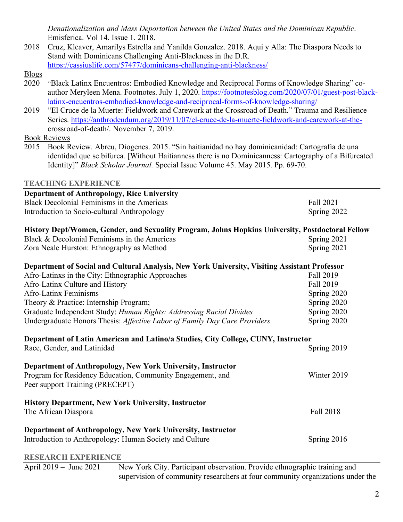*Denationalization and Mass Deportation between the United States and the Dominican Republic*. Emisferica. Vol 14. Issue 1. 2018.

2018 Stand with Dominicans Challenging Anti-Blackness in the D.R. [https://cassiuslife.com/57477/dominicans-challenging-anti-blackness/](https://cassiuslife.com/57477/dominicans-challenging-anti-blackness) Blogs 2018 Cruz, Kleaver, Amarilys Estrella and Yanilda Gonzalez. 2018. Aqui y Alla: The Diaspora Needs to

- 2020 "Black Latinx Encuentros: Embodied Knowledge and Reciprocal Forms of Knowledge Sharing" coauthor Meryleen Mena. Footnotes. July 1, 2020. <https://footnotesblog.com/2020/07/01/guest-post-black>latinx-encuentros-embodied-knowledge-and-reciprocal-forms-of-knowledge-sharing/
- 2019 crossroad-of-death/. November 7, 2019. "El Cruce de la Muerte: Fieldwork and Carework at the Crossroad of Death." Trauma and Resilience Series. <https://anthrodendum.org/2019/11/07/el-cruce-de-la-muerte-fieldwork-and-carework-at-the>-

Book Reviews

 2015 Book Review. Abreu, Diogenes. 2015. "Sin haitianidad no hay dominicanidad: Cartografia de una identidad que se bifurca. [Without Haitianness there is no Dominicanness: Cartography of a Bifurcated  Identity]" *Black Scholar Journal.* Special Issue Volume 45. May 2015. Pp. 69-70.

# **TEACHING EXPERIENCE**

| <b>Department of Anthropology, Rice University</b>                                                  |             |
|-----------------------------------------------------------------------------------------------------|-------------|
| Black Decolonial Feminisms in the Americas                                                          | Fall 2021   |
| Introduction to Socio-cultural Anthropology                                                         | Spring 2022 |
| History Dept/Women, Gender, and Sexuality Program, Johns Hopkins University, Postdoctoral Fellow    |             |
| Black & Decolonial Feminisms in the Americas                                                        | Spring 2021 |
| Zora Neale Hurston: Ethnography as Method                                                           | Spring 2021 |
| Department of Social and Cultural Analysis, New York University, Visiting Assistant Professor       |             |
| Afro-Latinxs in the City: Ethnographic Approaches                                                   | Fall 2019   |
| Afro-Latinx Culture and History                                                                     | Fall 2019   |
| <b>Afro-Latinx Feminisms</b>                                                                        | Spring 2020 |
| Theory & Practice: Internship Program;                                                              | Spring 2020 |
| Graduate Independent Study: Human Rights: Addressing Racial Divides                                 | Spring 2020 |
| Undergraduate Honors Thesis: Affective Labor of Family Day Care Providers                           | Spring 2020 |
| Department of Latin American and Latino/a Studies, City College, CUNY, Instructor                   |             |
| Race, Gender, and Latinidad                                                                         | Spring 2019 |
| Department of Anthropology, New York University, Instructor                                         |             |
| Program for Residency Education, Community Engagement, and                                          | Winter 2019 |
| Peer support Training (PRECEPT)                                                                     |             |
| <b>History Department, New York University, Instructor</b>                                          |             |
| The African Diaspora                                                                                | Fall 2018   |
| Department of Anthropology, New York University, Instructor                                         |             |
| Introduction to Anthropology: Human Society and Culture                                             | Spring 2016 |
| <b>RESEARCH EXPERIENCE</b>                                                                          |             |
| New York City. Participant observation. Provide ethnographic training and<br>April 2019 - June 2021 |             |

supervision of community researchers at four community organizations under the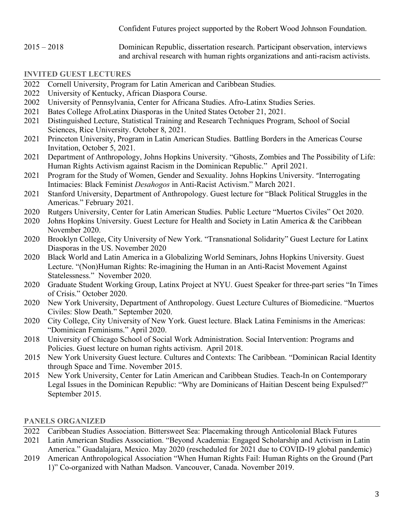Confident Futures project supported by the Robert Wood Johnson Foundation.

 2015 – 2018 Dominican Republic, dissertation research. Participant observation, interviews and archival research with human rights organizations and anti-racism activists.

# **INVITED GUEST LECTURES**

- 2022 Cornell University, Program for Latin American and Caribbean Studies.
- 2022 University of Kentucky, African Diaspora Course.
- 2002 University of Pennsylvania, Center for Africana Studies. Afro-Latinx Studies Series.
- 2021 Bates College AfroLatinx Diasporas in the United States October 21, 2021.
- 2021 Distinguished Lecture, Statistical Training and Research Techniques Program, School of Social Sciences, Rice University. October 8, 2021.
- 2021 Princeton University, Program in Latin American Studies. Battling Borders in the Americas Course Invitation, October 5, 2021.
- 2021 Department of Anthropology, Johns Hopkins University. "Ghosts, Zombies and The Possibility of Life: Human Rights Activism against Racism in the Dominican Republic." April 2021.
- 2021 Intimacies: Black Feminist *Desahogos* in Anti-Racist Activism." March 2021. Program for the Study of Women, Gender and Sexuality. Johns Hopkins University. "Interrogating
- Americas." February 2021. 2021 Stanford University, Department of Anthropology. Guest lecture for "Black Political Struggles in the
- 2020 2020 Rutgers University, Center for Latin American Studies. Public Lecture "Muertos Civiles" Oct 2020.
- 2020 November 2020. Johns Hopkins University. Guest Lecture for Health and Society in Latin America  $\&$  the Caribbean
- 2020 Brooklyn College, City University of New York. "Transnational Solidarity" Guest Lecture for Latinx Diasporas in the US. November 2020
- 2020 Black World and Latin America in a Globalizing World Seminars, Johns Hopkins University. Guest Lecture. "(Non)Human Rights: Re-imagining the Human in an Anti-Racist Movement Against Statelessness." November 2020.
- 2020 of Crisis." October 2020. 2020 Graduate Student Working Group, Latinx Project at NYU. Guest Speaker for three-part series "In Times
- 2020 Civiles: Slow Death." September 2020. New York University, Department of Anthropology. Guest Lecture Cultures of Biomedicine. "Muertos
- 2020 City College, City University of New York. Guest lecture. Black Latina Feminisms in the Americas: "Dominican Feminisms." April 2020.
- 2018 University of Chicago School of Social Work Administration. Social Intervention: Programs and Policies. Guest lecture on human rights activism. April 2018.
- 2015 New York University Guest lecture. Cultures and Contexts: The Caribbean. "Dominican Racial Identity through Space and Time. November 2015.
- 2015 Legal Issues in the Dominican Republic: "Why are Dominicans of Haitian Descent being Expulsed?" September 2015. New York University, Center for Latin American and Caribbean Studies. Teach-In on Contemporary

## **PANELS ORGANIZED**

- 2022 Caribbean Studies Association. Bittersweet Sea: Placemaking through Anticolonial Black Futures
- 2021 Latin American Studies Association. "Beyond Academia: Engaged Scholarship and Activism in Latin America." Guadalajara, Mexico. May 2020 (rescheduled for 2021 due to COVID-19 global pandemic)
- 2019 American Anthropological Association "When Human Rights Fail: Human Rights on the Ground (Part 1)" Co-organized with Nathan Madson. Vancouver, Canada. November 2019.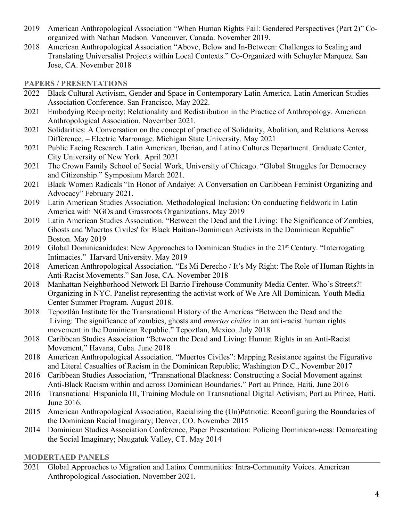- 2019 American Anthropological Association "When Human Rights Fail: Gendered Perspectives (Part 2)" Co-organized with Nathan Madson. Vancouver, Canada. November 2019.
- 2018 American Anthropological Association "Above, Below and In-Between: Challenges to Scaling and Translating Universalist Projects within Local Contexts." Co-Organized with Schuyler Marquez. San Jose, CA. November 2018

# **PAPERS / PRESENTATIONS**

- 2022 Black Cultural Activism, Gender and Space in Contemporary Latin America. Latin American Studies Association Conference. San Francisco, May 2022.
- Anthropological Association. November 2021. 2021 Embodying Reciprocity: Relationality and Redistribution in the Practice of Anthropology. American
- 2021 Solidarities: A Conversation on the concept of practice of Solidarity, Abolition, and Relations Across Difference. – Electric Marronage. Michigan State University. May 2021
- 2021 City University of New York. April 2021 Public Facing Research. Latin American, Iberian, and Latino Cultures Department. Graduate Center,
- 2021 and Citizenship." Symposium March 2021. The Crown Family School of Social Work, University of Chicago. "Global Struggles for Democracy
- 2021 Black Women Radicals "In Honor of Andaiye: A Conversation on Caribbean Feminist Organizing and Advocacy" February 2021.
- Advocacy" February 2021. 2019 Latin American Studies Association. Methodological Inclusion: On conducting fieldwork in Latin America with NGOs and Grassroots Organizations. May 2019
- 2019 Latin American Studies Association. "Between the Dead and the Living: The Significance of Zombies, Ghosts and 'Muertos Civiles' for Black Haitian-Dominican Activists in the Dominican Republic" Boston. May 2019
- 2019 Intimacies." Harvard University. May 2019 Global Dominicanidades: New Approaches to Dominican Studies in the 21<sup>st</sup> Century. "Interrogating
- 2018 American Anthropological Association. "Es Mi Derecho / It's My Right: The Role of Human Rights in Anti-Racist Movements." San Jose, CA. November 2018
- 2018 Manhattan Neighborhood Network El Barrio Firehouse Community Media Center. Who's Streets?! Organizing in NYC. Panelist representing the activist work of We Are All Dominican. Youth Media Center Summer Program. August 2018.
- 2018 Tepoztlán Institute for the Transnational History of the Americas "Between the Dead and the Living: The significance of zombies, ghosts and *muertos civiles* in an anti-racist human rights movement in the Dominican Republic." Tepoztlan, Mexico. July 2018
- 2018 Caribbean Studies Association "Between the Dead and Living: Human Rights in an Anti-Racist Movement," Havana, Cuba. June 2018
- 2018 American Anthropological Association. "Muertos Civiles": Mapping Resistance against the Figurative and Literal Casualties of Racism in the Dominican Republic; Washington D.C., November 2017
- 2016 Caribbean Studies Association, "Transnational Blackness: Constructing a Social Movement against Anti-Black Racism within and across Dominican Boundaries." Port au Prince, Haiti. June 2016
- 2016 Transnational Hispaniola III, Training Module on Transnational Digital Activism; Port au Prince, Haiti. June 2016.
- 2015 American Anthropological Association, Racializing the (Un)Patriotic: Reconfiguring the Boundaries of the Dominican Racial Imaginary; Denver, CO. November 2015
- 2014 Dominican Studies Association Conference, Paper Presentation: Policing Dominican-ness: Demarcating the Social Imaginary; Naugatuk Valley, CT. May 2014

# **MODERTAED PANELS**

2021 Anthropological Association. November 2021. Global Approaches to Migration and Latinx Communities: Intra-Community Voices. American